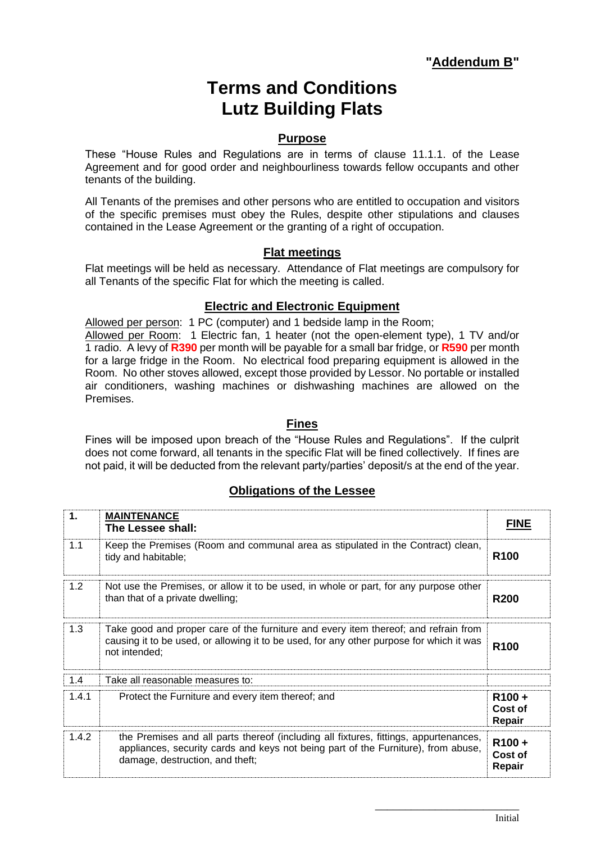# **Terms and Conditions Lutz Building Flats**

### **Purpose**

These "House Rules and Regulations are in terms of clause 11.1.1. of the Lease Agreement and for good order and neighbourliness towards fellow occupants and other tenants of the building.

All Tenants of the premises and other persons who are entitled to occupation and visitors of the specific premises must obey the Rules, despite other stipulations and clauses contained in the Lease Agreement or the granting of a right of occupation.

### **Flat meetings**

Flat meetings will be held as necessary. Attendance of Flat meetings are compulsory for all Tenants of the specific Flat for which the meeting is called.

## **Electric and Electronic Equipment**

Allowed per person: 1 PC (computer) and 1 bedside lamp in the Room;

Allowed per Room: 1 Electric fan, 1 heater (not the open-element type), 1 TV and/or 1 radio. A levy of **R390** per month will be payable for a small bar fridge, or **R590** per month for a large fridge in the Room. No electrical food preparing equipment is allowed in the Room. No other stoves allowed, except those provided by Lessor. No portable or installed air conditioners, washing machines or dishwashing machines are allowed on the Premises.

#### **Fines**

Fines will be imposed upon breach of the "House Rules and Regulations". If the culprit does not come forward, all tenants in the specific Flat will be fined collectively. If fines are not paid, it will be deducted from the relevant party/parties' deposit/s at the end of the year.

## **Obligations of the Lessee**

| $\mathbf 1$ . | <b>MAINTENANCE</b><br>The Lessee shall:                                                                                                                                                                      | <b>FINE</b>                   |
|---------------|--------------------------------------------------------------------------------------------------------------------------------------------------------------------------------------------------------------|-------------------------------|
| 1.1           | Keep the Premises (Room and communal area as stipulated in the Contract) clean,<br>tidy and habitable;                                                                                                       | R <sub>100</sub>              |
| 1.2           | Not use the Premises, or allow it to be used, in whole or part, for any purpose other<br>than that of a private dwelling;                                                                                    | <b>R200</b>                   |
| 1.3           | Take good and proper care of the furniture and every item thereof; and refrain from<br>causing it to be used, or allowing it to be used, for any other purpose for which it was<br>not intended;             | R <sub>100</sub>              |
| 1.4           | Take all reasonable measures to:                                                                                                                                                                             |                               |
| 1.4.1         | Protect the Furniture and every item thereof; and                                                                                                                                                            | $R100 +$<br>Cost of<br>Repair |
| 1.4.2         | the Premises and all parts thereof (including all fixtures, fittings, appurtenances,<br>appliances, security cards and keys not being part of the Furniture), from abuse,<br>damage, destruction, and theft; | $R100 +$<br>Cost of<br>Repair |

\_\_\_\_\_\_\_\_\_\_\_\_\_\_\_\_\_\_\_\_\_\_\_\_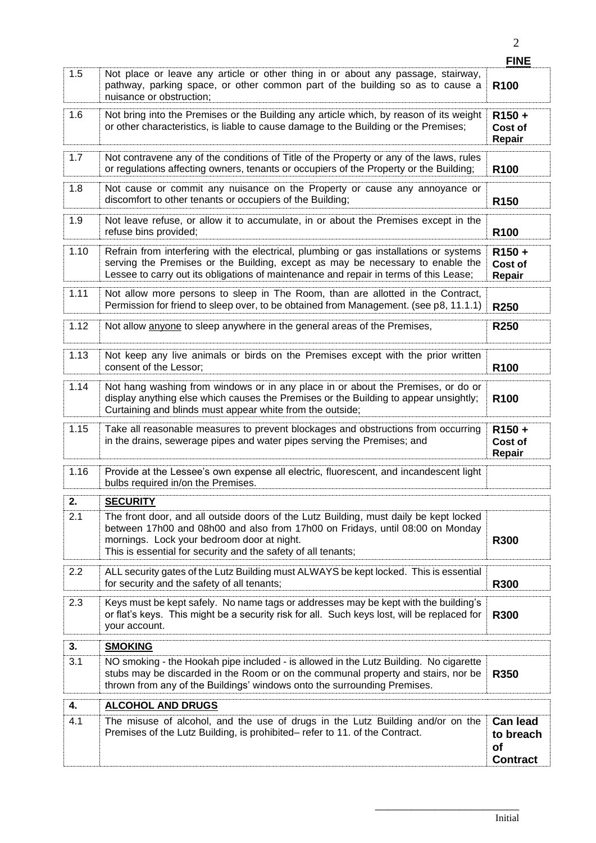|                  |                                                                                                                                                                                                                                                                                       | <b>FINE</b>                                           |
|------------------|---------------------------------------------------------------------------------------------------------------------------------------------------------------------------------------------------------------------------------------------------------------------------------------|-------------------------------------------------------|
| 1.5              | Not place or leave any article or other thing in or about any passage, stairway,<br>pathway, parking space, or other common part of the building so as to cause a<br>nuisance or obstruction;                                                                                         | R <sub>100</sub>                                      |
| 1.6              | Not bring into the Premises or the Building any article which, by reason of its weight<br>or other characteristics, is liable to cause damage to the Building or the Premises;                                                                                                        | R <sub>150</sub> +<br>Cost of<br>Repair               |
| 1.7              | Not contravene any of the conditions of Title of the Property or any of the laws, rules<br>or regulations affecting owners, tenants or occupiers of the Property or the Building;                                                                                                     | R <sub>100</sub>                                      |
| 1.8              | Not cause or commit any nuisance on the Property or cause any annoyance or<br>discomfort to other tenants or occupiers of the Building;                                                                                                                                               | R <sub>150</sub>                                      |
| 1.9              | Not leave refuse, or allow it to accumulate, in or about the Premises except in the<br>refuse bins provided;                                                                                                                                                                          | R <sub>100</sub>                                      |
| 1.10             | Refrain from interfering with the electrical, plumbing or gas installations or systems<br>serving the Premises or the Building, except as may be necessary to enable the<br>Lessee to carry out its obligations of maintenance and repair in terms of this Lease;                     | R <sub>150</sub> +<br>Cost of<br>Repair               |
| 1.11             | Not allow more persons to sleep in The Room, than are allotted in the Contract,<br>Permission for friend to sleep over, to be obtained from Management. (see p8, 11.1.1)                                                                                                              | <b>R250</b>                                           |
| 1.12             | Not allow anyone to sleep anywhere in the general areas of the Premises,                                                                                                                                                                                                              | R250                                                  |
| 1.13             | Not keep any live animals or birds on the Premises except with the prior written<br>consent of the Lessor;                                                                                                                                                                            | R <sub>100</sub>                                      |
| 1.14             | Not hang washing from windows or in any place in or about the Premises, or do or<br>display anything else which causes the Premises or the Building to appear unsightly;<br>Curtaining and blinds must appear white from the outside;                                                 | R <sub>100</sub>                                      |
| 1.15             | Take all reasonable measures to prevent blockages and obstructions from occurring<br>in the drains, sewerage pipes and water pipes serving the Premises; and                                                                                                                          | R <sub>150</sub> +<br>Cost of<br>Repair               |
| 1.16             | Provide at the Lessee's own expense all electric, fluorescent, and incandescent light<br>bulbs required in/on the Premises.                                                                                                                                                           |                                                       |
| $\overline{2}$ . | <b>SECURITY</b>                                                                                                                                                                                                                                                                       |                                                       |
| 2.1              | The front door, and all outside doors of the Lutz Building, must daily be kept locked<br>between 17h00 and 08h00 and also from 17h00 on Fridays, until 08:00 on Monday<br>mornings. Lock your bedroom door at night.<br>This is essential for security and the safety of all tenants; | <b>R300</b>                                           |
| 2.2              | ALL security gates of the Lutz Building must ALWAYS be kept locked. This is essential<br>for security and the safety of all tenants;                                                                                                                                                  | <b>R300</b>                                           |
| 2.3              | Keys must be kept safely. No name tags or addresses may be kept with the building's<br>or flat's keys. This might be a security risk for all. Such keys lost, will be replaced for<br>your account.                                                                                   | <b>R300</b>                                           |
| 3.               | <b>SMOKING</b>                                                                                                                                                                                                                                                                        |                                                       |
| 3.1              | NO smoking - the Hookah pipe included - is allowed in the Lutz Building. No cigarette<br>stubs may be discarded in the Room or on the communal property and stairs, nor be<br>thrown from any of the Buildings' windows onto the surrounding Premises.                                | R350                                                  |
| 4.               | <b>ALCOHOL AND DRUGS</b>                                                                                                                                                                                                                                                              |                                                       |
| 4.1              | The misuse of alcohol, and the use of drugs in the Lutz Building and/or on the<br>Premises of the Lutz Building, is prohibited– refer to 11. of the Contract.                                                                                                                         | <b>Can lead</b><br>to breach<br>of<br><b>Contract</b> |

\_\_\_\_\_\_\_\_\_\_\_\_\_\_\_\_\_\_\_\_\_\_\_\_